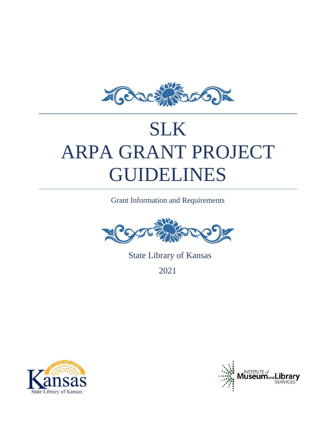

# SLK ARPA GRANT PROJECT GUIDELINES

Grant Information and Requirements



State Library of Kansas

2021



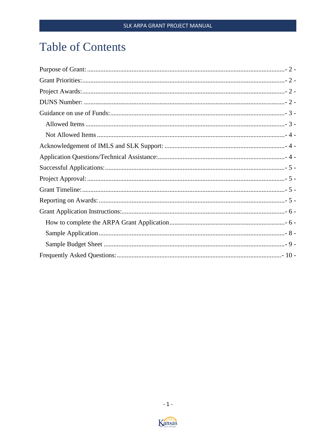## **Table of Contents**

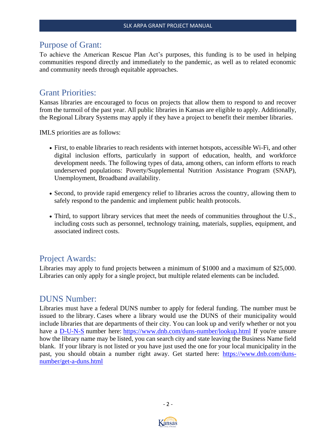## <span id="page-2-0"></span>Purpose of Grant:

To achieve the American Rescue Plan Act's purposes, this funding is to be used in helping communities respond directly and immediately to the pandemic, as well as to related economic and community needs through equitable approaches.

## <span id="page-2-1"></span>Grant Priorities:

Kansas libraries are encouraged to focus on projects that allow them to respond to and recover from the turmoil of the past year. All public libraries in Kansas are eligible to apply. Additionally, the Regional Library Systems may apply if they have a project to benefit their member libraries.

IMLS priorities are as follows:

- First, to enable libraries to reach residents with internet hotspots, accessible Wi-Fi, and other digital inclusion efforts, particularly in support of education, health, and workforce development needs. The following types of data, among others, can inform efforts to reach underserved populations: Poverty/Supplemental Nutrition Assistance Program (SNAP), Unemployment, Broadband availability.
- Second, to provide rapid emergency relief to libraries across the country, allowing them to safely respond to the pandemic and implement public health protocols.
- Third, to support library services that meet the needs of communities throughout the U.S., including costs such as personnel, technology training, materials, supplies, equipment, and associated indirect costs.

## <span id="page-2-2"></span>Project Awards:

Libraries may apply to fund projects between a minimum of \$1000 and a maximum of \$25,000. Libraries can only apply for a single project, but multiple related elements can be included.

## <span id="page-2-3"></span>DUNS Number:

Libraries must have a federal DUNS number to apply for federal funding. The number must be issued to the library. Cases where a library would use the DUNS of their municipality would include libraries that are departments of their city. You can look up and verify whether or not you have a [D-U-N-S](https://gcc02.safelinks.protection.outlook.com/?url=https%3A%2F%2Fwww.dnb.com%2Fduns-number%2Fwhat-is-duns.html&data=04%7C01%7CAlice.Smith%40ks.gov%7Cf51208426f0244e0e60608d926ac58bc%7Cdcae8101c92d480cbc43c6761ccccc5a%7C0%7C0%7C637583343919908352%7CUnknown%7CTWFpbGZsb3d8eyJWIjoiMC4wLjAwMDAiLCJQIjoiV2luMzIiLCJBTiI6Ik1haWwiLCJXVCI6Mn0%3D%7C1000&sdata=3A7IBItuEpZlVKHA82udF7U6zWGqMh2eDnlRWvB4YF0%3D&reserved=0) number here: [https://www.dnb.com/duns-number/lookup.html](https://gcc02.safelinks.protection.outlook.com/?url=https%3A%2F%2Fwww.dnb.com%2Fduns-number%2Flookup.html&data=04%7C01%7CAlice.Smith%40ks.gov%7Cf51208426f0244e0e60608d926ac58bc%7Cdcae8101c92d480cbc43c6761ccccc5a%7C0%7C0%7C637583343919908352%7CUnknown%7CTWFpbGZsb3d8eyJWIjoiMC4wLjAwMDAiLCJQIjoiV2luMzIiLCJBTiI6Ik1haWwiLCJXVCI6Mn0%3D%7C1000&sdata=tIVzjM7cIJJwSm%2FSCNC8V%2B%2FqqlyMUKsCd9a%2FPWObAFY%3D&reserved=0) If you're unsure how the library name may be listed, you can search city and state leaving the Business Name field blank. If your library is not listed or you have just used the one for your local municipality in the past, you should obtain a number right away. Get started here: [https://www.dnb.com/duns](https://gcc02.safelinks.protection.outlook.com/?url=https%3A%2F%2Fwww.dnb.com%2Fduns-number%2Fget-a-duns.html&data=04%7C01%7CAlice.Smith%40ks.gov%7Cf51208426f0244e0e60608d926ac58bc%7Cdcae8101c92d480cbc43c6761ccccc5a%7C0%7C0%7C637583343919918308%7CUnknown%7CTWFpbGZsb3d8eyJWIjoiMC4wLjAwMDAiLCJQIjoiV2luMzIiLCJBTiI6Ik1haWwiLCJXVCI6Mn0%3D%7C1000&sdata=Qw78gWAGtz0JRu56%2Fp10%2BvvCLxUWMypMf3Kw8%2FCZxbc%3D&reserved=0)[number/get-a-duns.html](https://gcc02.safelinks.protection.outlook.com/?url=https%3A%2F%2Fwww.dnb.com%2Fduns-number%2Fget-a-duns.html&data=04%7C01%7CAlice.Smith%40ks.gov%7Cf51208426f0244e0e60608d926ac58bc%7Cdcae8101c92d480cbc43c6761ccccc5a%7C0%7C0%7C637583343919918308%7CUnknown%7CTWFpbGZsb3d8eyJWIjoiMC4wLjAwMDAiLCJQIjoiV2luMzIiLCJBTiI6Ik1haWwiLCJXVCI6Mn0%3D%7C1000&sdata=Qw78gWAGtz0JRu56%2Fp10%2BvvCLxUWMypMf3Kw8%2FCZxbc%3D&reserved=0)



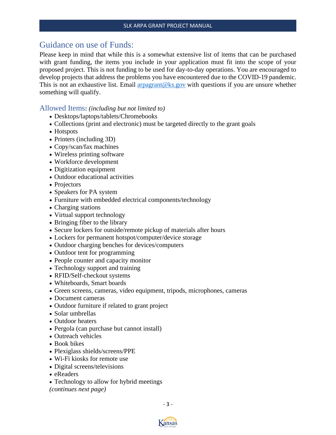## <span id="page-3-0"></span>Guidance on use of Funds:

Please keep in mind that while this is a somewhat extensive list of items that can be purchased with grant funding, the items you include in your application must fit into the scope of your proposed project. This is not funding to be used for day-to-day operations. You are encouraged to develop projects that address the problems you have encountered due to the COVID-19 pandemic. This is not an exhaustive list. Email  $\arg_{\theta} \log_{\theta} \frac{1}{\sqrt{N}}$  with questions if you are unsure whether something will qualify.

#### <span id="page-3-1"></span>Allowed Items**:** *(including but not limited to)*

- Desktops/laptops/tablets/Chromebooks
- Collections (print and electronic) must be targeted directly to the grant goals
- Hotspots
- Printers (including 3D)
- Copy/scan/fax machines
- Wireless printing software
- Workforce development
- Digitization equipment
- Outdoor educational activities
- Projectors
- Speakers for PA system
- Furniture with embedded electrical components/technology
- Charging stations
- Virtual support technology
- Bringing fiber to the library
- Secure lockers for outside/remote pickup of materials after hours
- Lockers for permanent hotspot/computer/device storage
- Outdoor charging benches for devices/computers
- Outdoor tent for programming
- People counter and capacity monitor
- Technology support and training
- RFID/Self-checkout systems
- Whiteboards, Smart boards
- Green screens, cameras, video equipment, tripods, microphones, cameras
- Document cameras
- Outdoor furniture if related to grant project
- Solar umbrellas
- Outdoor heaters
- Pergola (can purchase but cannot install)
- Outreach vehicles
- Book bikes
- Plexiglass shields/screens/PPE
- Wi-Fi kiosks for remote use
- Digital screens/televisions
- eReaders
- Technology to allow for hybrid meetings

*(continues next page)*

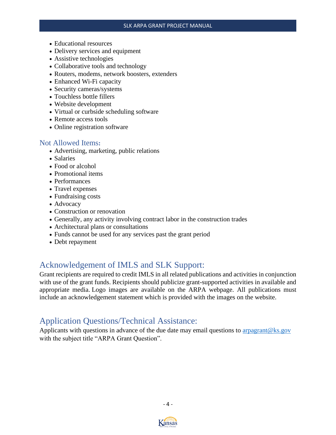- Educational resources
- Delivery services and equipment
- Assistive technologies
- Collaborative tools and technology
- Routers, modems, network boosters, extenders
- Enhanced Wi-Fi capacity
- Security cameras/systems
- Touchless bottle fillers
- Website development
- Virtual or curbside scheduling software
- Remote access tools
- Online registration software

#### <span id="page-4-0"></span>Not Allowed Items**:**

- Advertising, marketing, public relations
- Salaries
- Food or alcohol
- Promotional items
- Performances
- Travel expenses
- Fundraising costs
- Advocacy
- Construction or renovation
- Generally, any activity involving contract labor in the construction trades
- Architectural plans or consultations
- Funds cannot be used for any services past the grant period
- Debt repayment

## <span id="page-4-1"></span>Acknowledgement of IMLS and SLK Support:

Grant recipients are required to credit IMLS in all related publications and activities in conjunction with use of the grant funds. Recipients should publicize grant-supported activities in available and appropriate media. Logo images are available on the ARPA webpage. All publications must include an acknowledgement statement which is provided with the images on the website.

## <span id="page-4-2"></span>Application Questions/Technical Assistance:

Applicants with questions in advance of the due date may email questions to [arpagrant@ks.gov](mailto:arpagrant@ks.gov) with the subject title "ARPA Grant Question".



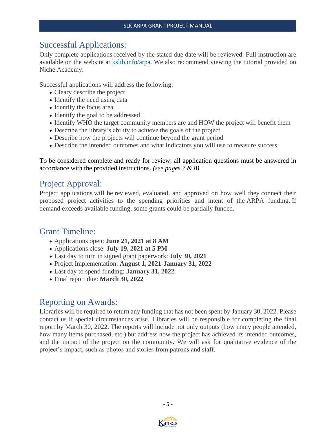## <span id="page-5-0"></span>Successful Applications:

Only complete applications received by the stated due date will be reviewed. Full instruction are available on the website at [kslib.info/arpa.](kslib.info/arpa) We also recommend viewing the tutorial provided on Niche Academy.

Successful applications will address the following:

- Cleary describe the project
- Identify the need using data
- Identify the focus area
- Identify the goal to be addressed
- Identify WHO the target community members are and HOW the project will benefit them
- Describe the library's ability to achieve the goals of the project
- Describe how the projects will continue beyond the grant period
- Describe the intended outcomes and what indicators you will use to measure success

To be considered complete and ready for review, all application questions must be answered in accordance with the provided instructions. *(see pages 7 & 8)*

## <span id="page-5-1"></span>Project Approval:

Project applications will be reviewed, evaluated, and approved on how well they connect their proposed project activities to the spending priorities and intent of the ARPA funding. If demand exceeds available funding, some grants could be partially funded.

## <span id="page-5-2"></span>Grant Timeline:

- Applications open: **June 21, 2021 at 8 AM**
- Applications close: **July 19, 2021 at 5 PM**
- Last day to turn in signed grant paperwork: **July 30, 2021**
- Project Implementation: **August 1, 2021-January 31, 2022**
- Last day to spend funding: **January 31, 2022**
- Final report due: **March 30, 2022**

## <span id="page-5-3"></span>Reporting on Awards:

Libraries will be required to return any funding that has not been spent by January 30, 2022. Please contact us if special circumstances arise. Libraries will be responsible for completing the final report by March 30, 2022. The reports will include not only outputs (how many people attended, how many items purchased, etc.) but address how the project has achieved its intended outcomes, and the impact of the project on the community. We will ask for qualitative evidence of the project's impact, such as photos and stories from patrons and staff.



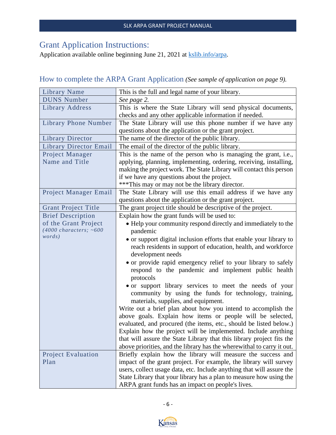## <span id="page-6-0"></span>Grant Application Instructions:

Application available online beginning June 21, 2021 at [kslib.info/arpa.](kslib.info/arpa)

## <span id="page-6-1"></span>How to complete the ARPA Grant Application *(See sample of application on page 9).*

| Library Name                      | This is the full and legal name of your library.                                                                                           |  |  |  |  |
|-----------------------------------|--------------------------------------------------------------------------------------------------------------------------------------------|--|--|--|--|
| <b>DUNS Number</b>                | See page 2.                                                                                                                                |  |  |  |  |
| Library Address                   | This is where the State Library will send physical documents,                                                                              |  |  |  |  |
|                                   | checks and any other applicable information if needed.                                                                                     |  |  |  |  |
| <b>Library Phone Number</b>       | The State Library will use this phone number if we have any                                                                                |  |  |  |  |
|                                   | questions about the application or the grant project.                                                                                      |  |  |  |  |
| <b>Library Director</b>           | The name of the director of the public library.                                                                                            |  |  |  |  |
| <b>Library Director Email</b>     | The email of the director of the public library.                                                                                           |  |  |  |  |
| Project Manager                   | This is the name of the person who is managing the grant, i.e.,                                                                            |  |  |  |  |
| Name and Title                    | applying, planning, implementing, ordering, receiving, installing,                                                                         |  |  |  |  |
|                                   | making the project work. The State Library will contact this person                                                                        |  |  |  |  |
|                                   | if we have any questions about the project.                                                                                                |  |  |  |  |
|                                   | *** This may or may not be the library director.                                                                                           |  |  |  |  |
| Project Manager Email             | The State Library will use this email address if we have any                                                                               |  |  |  |  |
|                                   | questions about the application or the grant project.                                                                                      |  |  |  |  |
| <b>Grant Project Title</b>        | The grant project title should be descriptive of the project.                                                                              |  |  |  |  |
| <b>Brief Description</b>          | Explain how the grant funds will be used to:                                                                                               |  |  |  |  |
| of the Grant Project              | • Help your community respond directly and immediately to the                                                                              |  |  |  |  |
| $(4000 \text{ characters}; -600$  | pandemic                                                                                                                                   |  |  |  |  |
| words)                            | • or support digital inclusion efforts that enable your library to                                                                         |  |  |  |  |
|                                   | reach residents in support of education, health, and workforce                                                                             |  |  |  |  |
|                                   | development needs                                                                                                                          |  |  |  |  |
|                                   | • or provide rapid emergency relief to your library to safely                                                                              |  |  |  |  |
|                                   | respond to the pandemic and implement public health                                                                                        |  |  |  |  |
|                                   | protocols                                                                                                                                  |  |  |  |  |
|                                   | • or support library services to meet the needs of your                                                                                    |  |  |  |  |
|                                   | community by using the funds for technology, training,                                                                                     |  |  |  |  |
|                                   | materials, supplies, and equipment.                                                                                                        |  |  |  |  |
|                                   | Write out a brief plan about how you intend to accomplish the                                                                              |  |  |  |  |
|                                   | above goals. Explain how items or people will be selected,                                                                                 |  |  |  |  |
|                                   | evaluated, and procured (the items, etc., should be listed below.)                                                                         |  |  |  |  |
|                                   | Explain how the project will be implemented. Include anything                                                                              |  |  |  |  |
|                                   | that will assure the State Library that this library project fits the                                                                      |  |  |  |  |
|                                   | above priorities, and the library has the where with all to carry it out.                                                                  |  |  |  |  |
| <b>Project Evaluation</b><br>Plan | Briefly explain how the library will measure the success and                                                                               |  |  |  |  |
|                                   | impact of the grant project. For example, the library will survey<br>users, collect usage data, etc. Include anything that will assure the |  |  |  |  |
|                                   | State Library that your library has a plan to measure how using the                                                                        |  |  |  |  |
|                                   | ARPA grant funds has an impact on people's lives.                                                                                          |  |  |  |  |
|                                   |                                                                                                                                            |  |  |  |  |

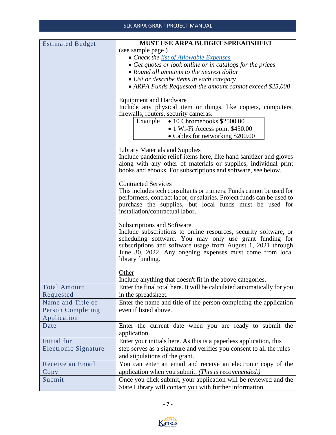#### SLK ARPA GRANT PROJECT MANUAL

| <b>Estimated Budget</b> | <b>MUST USE ARPA BUDGET SPREADSHEET</b>                                                            |  |  |  |  |  |
|-------------------------|----------------------------------------------------------------------------------------------------|--|--|--|--|--|
|                         | (see sample page)                                                                                  |  |  |  |  |  |
|                         | • Check the list of Allowable Expenses                                                             |  |  |  |  |  |
|                         | • Get quotes or look online or in catalogs for the prices                                          |  |  |  |  |  |
|                         | • Round all amounts to the nearest dollar                                                          |  |  |  |  |  |
|                         | • List or describe items in each category                                                          |  |  |  |  |  |
|                         | • ARPA Funds Requested-the amount cannot exceed \$25,000                                           |  |  |  |  |  |
|                         |                                                                                                    |  |  |  |  |  |
|                         | <b>Equipment and Hardware</b>                                                                      |  |  |  |  |  |
|                         | Include any physical item or things, like copiers, computers,                                      |  |  |  |  |  |
|                         | firewalls, routers, security cameras.                                                              |  |  |  |  |  |
|                         | Example  <br>• 10 Chromebooks \$2500.00                                                            |  |  |  |  |  |
|                         | • 1 Wi-Fi Access point \$450.00                                                                    |  |  |  |  |  |
|                         | • Cables for networking \$200.00                                                                   |  |  |  |  |  |
|                         |                                                                                                    |  |  |  |  |  |
|                         | <b>Library Materials and Supplies</b>                                                              |  |  |  |  |  |
|                         | Include pandemic relief items here, like hand sanitizer and gloves                                 |  |  |  |  |  |
|                         | along with any other of materials or supplies, individual print                                    |  |  |  |  |  |
|                         | books and ebooks. For subscriptions and software, see below.                                       |  |  |  |  |  |
|                         |                                                                                                    |  |  |  |  |  |
|                         | <b>Contracted Services</b><br>This includes tech consultants or trainers. Funds cannot be used for |  |  |  |  |  |
|                         | performers, contract labor, or salaries. Project funds can be used to                              |  |  |  |  |  |
|                         | purchase the supplies, but local funds must be used for                                            |  |  |  |  |  |
|                         | installation/contractual labor.                                                                    |  |  |  |  |  |
|                         |                                                                                                    |  |  |  |  |  |
|                         | <b>Subscriptions and Software</b>                                                                  |  |  |  |  |  |
|                         | Include subscriptions to online resources, security software, or                                   |  |  |  |  |  |
|                         | scheduling software. You may only use grant funding for                                            |  |  |  |  |  |
|                         | subscriptions and software usage from August 1, 2021 through                                       |  |  |  |  |  |
|                         | June 30, 2022. Any ongoing expenses must come from local<br>library funding.                       |  |  |  |  |  |
|                         |                                                                                                    |  |  |  |  |  |
|                         | Other                                                                                              |  |  |  |  |  |
|                         | Include anything that doesn't fit in the above categories.                                         |  |  |  |  |  |
| Total Amount            | Enter the final total here. It will be calculated automatically for you                            |  |  |  |  |  |
| Requested               | in the spreadsheet.                                                                                |  |  |  |  |  |
| Name and Title of       |                                                                                                    |  |  |  |  |  |
|                         | Enter the name and title of the person completing the application                                  |  |  |  |  |  |
| Person Completing       | even if listed above.                                                                              |  |  |  |  |  |
| Application             |                                                                                                    |  |  |  |  |  |
| Date                    | Enter the current date when you are ready to submit the<br>application.                            |  |  |  |  |  |
| Initial for             | Enter your initials here. As this is a paperless application, this                                 |  |  |  |  |  |
| Electronic Signature    | step serves as a signature and verifies you consent to all the rules                               |  |  |  |  |  |
|                         | and stipulations of the grant.                                                                     |  |  |  |  |  |
| Receive an Email        |                                                                                                    |  |  |  |  |  |
|                         | You can enter an email and receive an electronic copy of the                                       |  |  |  |  |  |
| Copy                    | application when you submit. (This is recommended.)                                                |  |  |  |  |  |
| Submit                  | Once you click submit, your application will be reviewed and the                                   |  |  |  |  |  |
|                         | State Library will contact you with further information.                                           |  |  |  |  |  |

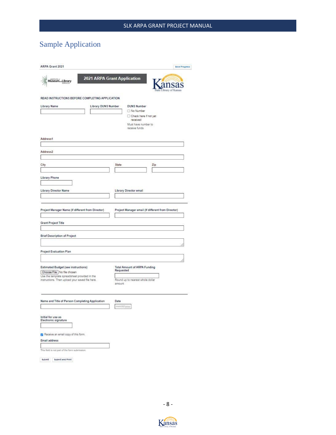## <span id="page-8-0"></span>Sample Application

| ARPA Grant 2021                                                                                                                                                      | <b>Save Progress</b>                                                                                               |
|----------------------------------------------------------------------------------------------------------------------------------------------------------------------|--------------------------------------------------------------------------------------------------------------------|
| MuseumLibrary                                                                                                                                                        | 2021 ARPA Grant Application                                                                                        |
| READ INSTRUCTIONS BEFORE COMPLETING APPLICATION<br>Library Name                                                                                                      | Library DUNS Number<br><b>DUNS Number</b><br>No Number<br>Check here if not yet<br>received<br>Must have number to |
| Address1                                                                                                                                                             | receive funds                                                                                                      |
| Address2                                                                                                                                                             |                                                                                                                    |
| City                                                                                                                                                                 | State<br>Zip                                                                                                       |
| Library Phone                                                                                                                                                        |                                                                                                                    |
| Library Director Name                                                                                                                                                | Library Director email                                                                                             |
| Project Manager Name (If different from Director)                                                                                                                    | Project Manager email (If different from Director)                                                                 |
| Grant Project Title<br><b>Brief Description of Project</b>                                                                                                           |                                                                                                                    |
| <b>Project Evaluation Plan</b>                                                                                                                                       |                                                                                                                    |
| Estimated Budget (see instructions)<br>Choose File No file chosen<br>Use the template spreadsheet provided in the<br>instructions. Then upload your saved file here. | <b>Total Amount of ARPA Funding</b><br>Requested<br>Round up to nearest whole dollar<br>amount                     |
| Name and Title of Person Completing Application                                                                                                                      | Date<br>mm/dd/yyyy                                                                                                 |
| Initial for use as<br>Electronic signature                                                                                                                           |                                                                                                                    |
| Receive an email copy of this form.<br>Email address                                                                                                                 |                                                                                                                    |
| This field is not part of the form submission.                                                                                                                       |                                                                                                                    |
| <b>Submit</b><br><b>Submit and Print</b>                                                                                                                             |                                                                                                                    |

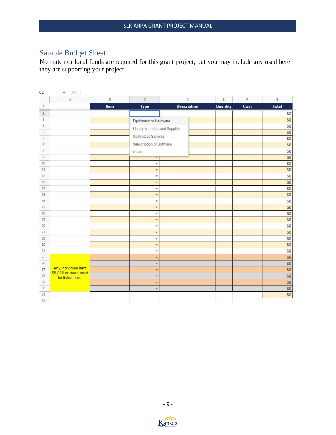## <span id="page-9-0"></span>Sample Budget Sheet

No match or local funds are required for this grant project, but you may include any used here if they are supporting your project

| CZ.            | ×.<br>JX<br>A                               | B    | $\mathbb{C}$                   | D                  | E               | F    | G            |
|----------------|---------------------------------------------|------|--------------------------------|--------------------|-----------------|------|--------------|
| $\overline{1}$ |                                             | Item | <b>Type</b>                    | <b>Description</b> | <b>Quantity</b> | Cost | <b>Total</b> |
| $\sqrt{2}$     |                                             |      |                                |                    |                 |      | \$0          |
| $\mathbf{3}$   |                                             |      | Equipment or Hardware          |                    |                 |      | \$0          |
| 4              |                                             |      | Library Materials and Supplies |                    |                 |      | 50           |
| 5              |                                             |      |                                |                    |                 |      | \$0          |
| 6              |                                             |      | <b>Contracted Services</b>     |                    |                 |      | \$0          |
| $\overline{7}$ |                                             |      | Subscription or Software       |                    |                 |      | \$0          |
| $^{\rm 8}$     |                                             |      | Other                          |                    |                 |      | \$0          |
| 9              |                                             |      |                                |                    |                 |      | \$0          |
| 10             |                                             |      | ÷                              |                    |                 |      | \$0          |
| 11             |                                             |      | ٠                              |                    |                 |      | \$0          |
| 12             |                                             |      | ÷                              |                    |                 |      | \$0          |
| 13             |                                             |      | $\overline{\mathbf{v}}$        |                    |                 |      | \$0          |
| 14             |                                             |      | ×                              |                    |                 |      | \$0          |
| 15             |                                             |      | ٠                              |                    |                 |      | \$0          |
| 16             |                                             |      | $\overline{\mathcal{M}}$       |                    |                 |      | \$0          |
| 17             |                                             |      | ٠                              |                    |                 |      | \$0          |
| 18             |                                             |      | $\overline{\phantom{a}}$       |                    |                 |      | \$0          |
| 19             |                                             |      | ÷                              |                    |                 |      | \$0          |
| 20             |                                             |      | ÷                              |                    |                 |      | \$0          |
| 21             |                                             |      | $\overline{\mathbf{r}}$        |                    |                 |      | \$0          |
| 22             |                                             |      | ٠                              |                    |                 |      | \$0          |
| 23             |                                             |      | ٠                              |                    |                 |      | \$0          |
| 24             |                                             |      | $\overline{\phantom{a}}$       |                    |                 |      | \$0          |
| 25             |                                             |      | ٠                              |                    |                 |      | \$0          |
| 26             |                                             |      | ÷                              |                    |                 |      | \$0          |
| 27             | Any individual item<br>\$5,000 or more must |      | ٠                              |                    |                 |      | \$0          |
| 28             | be listed here.                             |      | $\overline{\phantom{a}}$       |                    |                 |      | \$0          |
| 29             |                                             |      | ÷                              |                    |                 |      | \$0          |
| 30             |                                             |      | ÷                              |                    |                 |      | \$0          |
| 31             |                                             |      |                                |                    |                 |      | \$0          |
| 32             |                                             |      |                                |                    |                 |      |              |

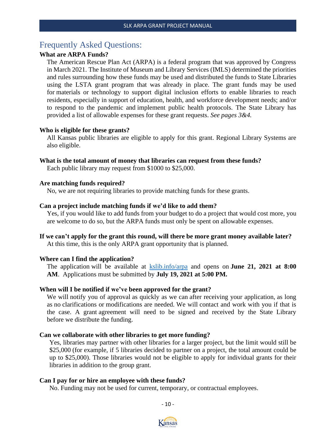## <span id="page-10-0"></span>Frequently Asked Questions:

#### **What are ARPA Funds?**

The American Rescue Plan Act (ARPA) is a federal program that was approved by Congress in March 2021. The Institute of Museum and Library Services (IMLS) determined the priorities and rules surrounding how these funds may be used and distributed the funds to State Libraries using the LSTA grant program that was already in place. The grant funds may be used for materials or technology to support digital inclusion efforts to enable libraries to reach residents, especially in support of education, health, and workforce development needs; and/or to respond to the pandemic and implement public health protocols. The State Library has provided a list of allowable expenses for these grant requests. *See pages 3&4.*

#### **Who is eligible for these grants?**

All Kansas public libraries are eligible to apply for this grant. Regional Library Systems are also eligible.

#### **What is the total amount of money that libraries can request from these funds?**

Each public library may request from \$1000 to \$25,000.

#### **Are matching funds required?**

No, we are not requiring libraries to provide matching funds for these grants.

#### **Can a project include matching funds if we'd like to add them?**

Yes, if you would like to add funds from your budget to do a project that would cost more, you are welcome to do so, but the ARPA funds must only be spent on allowable expenses.

## **If we can't apply for the grant this round, will there be more grant money available later?**

At this time, this is the only ARPA grant opportunity that is planned.

#### **Where can I find the application?**

The application will be available at <kslib.info/arpa> and opens on **June 21, 2021 at 8:00 AM**. Applications must be submitted by **July 19, 2021 at 5:00 PM.**

#### **When will I be notified if we've been approved for the grant?**

We will notify you of approval as quickly as we can after receiving your application, as long as no clarifications or modifications are needed. We will contact and work with you if that is the case. A grant agreement will need to be signed and received by the State Library before we distribute the funding.

#### **Can we collaborate with other libraries to get more funding?**

Yes, libraries may partner with other libraries for a larger project, but the limit would still be \$25,000 (for example, if 5 libraries decided to partner on a project, the total amount could be up to \$25,000). Those libraries would not be eligible to apply for individual grants for their libraries in addition to the group grant.

#### **Can I pay for or hire an employee with these funds?**

No. Funding may not be used for current, temporary, or contractual employees.

- 10 -

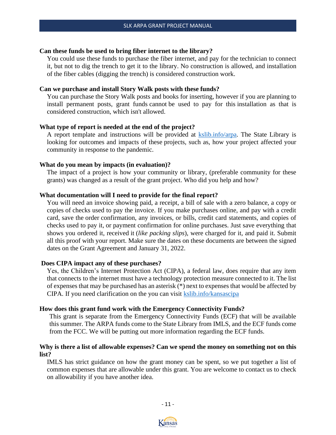#### **Can these funds be used to bring fiber internet to the library?**

You could use these funds to purchase the fiber internet, and pay for the technician to connect it, but not to dig the trench to get it to the library. No construction is allowed, and installation of the fiber cables (digging the trench) is considered construction work.

#### **Can we purchase and install Story Walk posts with these funds?**

You can purchase the Story Walk posts and books for inserting, however if you are planning to install permanent posts, grant funds cannot be used to pay for this installation as that is considered construction, which isn't allowed.

#### **What type of report is needed at the end of the project?**

A report template and instructions will be provided at **kslib.info/arpa**. The State Library is looking for outcomes and impacts of these projects, such as, how your project affected your community in response to the pandemic.

#### **What do you mean by impacts (in evaluation)?**

The impact of a project is how your community or library, (preferable community for these grants) was changed as a result of the grant project. Who did you help and how?

#### **What documentation will I need to provide for the final report?**

You will need an invoice showing paid, a receipt, a bill of sale with a zero balance, a copy or copies of checks used to pay the invoice. If you make purchases online, and pay with a credit card, save the order confirmation, any invoices, or bills, credit card statements, and copies of checks used to pay it, or payment confirmation for online purchases. Just save everything that shows you ordered it, received it (*like packing slips*), were charged for it, and paid it. Submit all this proof with your report. Make sure the dates on these documents are between the signed dates on the Grant Agreement and January 31, 2022.

#### **Does CIPA impact any of these purchases?**

Yes, the Children's Internet Protection Act (CIPA), a federal law, does require that any item that connects to the internet must have a technology protection measure connected to it. The list of expenses that may be purchased has an asterisk (\*) next to expenses that would be affected by CIPA. If you need clarification on the you can visit [kslib.info/kansascipa](https://kslib.info/427/Kansas-Childrens-Internet-Protection-Act)

#### **How does this grant fund work with the Emergency Connectivity Funds?**

This grant is separate from the Emergency Connectivity Funds (ECF) that will be available this summer. The ARPA funds come to the State Library from IMLS, and the ECF funds come from the FCC. We will be putting out more information regarding the ECF funds.

#### **Why is there a list of allowable expenses? Can we spend the money on something not on this list?**

IMLS has strict guidance on how the grant money can be spent, so we put together a list of common expenses that are allowable under this grant. You are welcome to contact us to check on allowability if you have another idea.

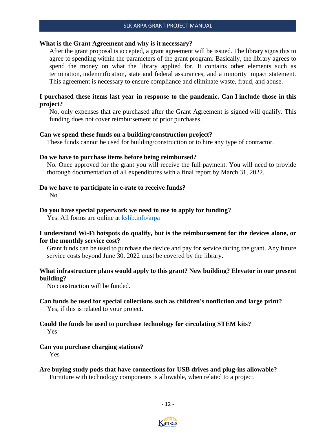#### **What is the Grant Agreement and why is it necessary?**

After the grant proposal is accepted, a grant agreement will be issued. The library signs this to agree to spending within the parameters of the grant program. Basically, the library agrees to spend the money on what the library applied for. It contains other elements such as termination, indemnification, state and federal assurances, and a minority impact statement. This agreement is necessary to ensure compliance and eliminate waste, fraud, and abuse.

#### **I purchased these items last year in response to the pandemic. Can I include those in this project?**

No, only expenses that are purchased after the Grant Agreement is signed will qualify. This funding does not cover reimbursement of prior purchases.

#### **Can we spend these funds on a building/construction project?**

These funds cannot be used for building/construction or to hire any type of contractor.

#### **Do we have to purchase items before being reimbursed?**

No. Once approved for the grant you will receive the full payment. You will need to provide thorough documentation of all expenditures with a final report by March 31, 2022.

#### **Do we have to participate in e-rate to receive funds?**

No

#### **Do you have special paperwork we need to use to apply for funding?**

Yes. All forms are online at<kslib.info/arpa>

#### **I understand Wi-Fi hotspots do qualify, but is the reimbursement for the devices alone, or for the monthly service cost?**

Grant funds can be used to purchase the device and pay for service during the grant. Any future service costs beyond June 30, 2022 must be covered by the library.

#### **What infrastructure plans would apply to this grant? New building? Elevator in our present building?**

No construction will be funded.

#### **Can funds be used for special collections such as children's nonfiction and large print?** Yes, if this is related to your project.

#### **Could the funds be used to purchase technology for circulating STEM kits?** Yes

#### **Can you purchase charging stations?**  Yes

**Are buying study pods that have connections for USB drives and plug-ins allowable?** Furniture with technology components is allowable, when related to a project.